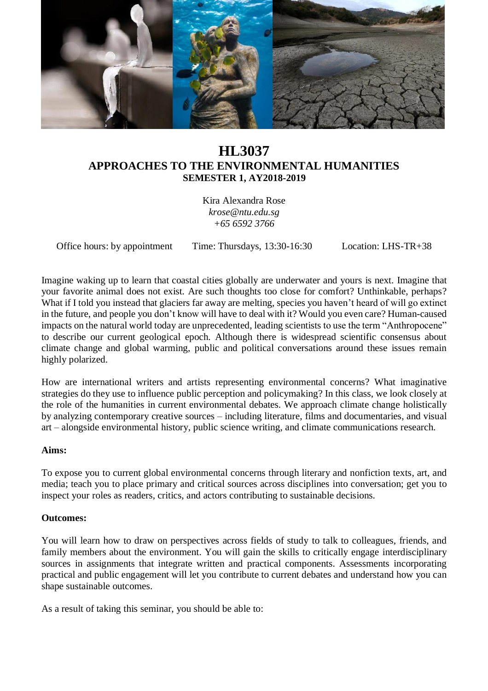

# **HL3037 APPROACHES TO THE ENVIRONMENTAL HUMANITIES SEMESTER 1, AY2018-2019**

Kira Alexandra Rose *krose@ntu.edu.sg +65 6592 3766*

Office hours: by appointment Time: Thursdays, 13:30-16:30 Location: LHS-TR+38

Imagine waking up to learn that coastal cities globally are underwater and yours is next. Imagine that your favorite animal does not exist. Are such thoughts too close for comfort? Unthinkable, perhaps? What if I told you instead that glaciers far away are melting, species you haven't heard of will go extinct in the future, and people you don't know will have to deal with it? Would you even care? Human-caused impacts on the natural world today are unprecedented, leading scientists to use the term "Anthropocene" to describe our current geological epoch. Although there is widespread scientific consensus about climate change and global warming, public and political conversations around these issues remain highly polarized.

How are international writers and artists representing environmental concerns? What imaginative strategies do they use to influence public perception and policymaking? In this class, we look closely at the role of the humanities in current environmental debates. We approach climate change holistically by analyzing contemporary creative sources – including literature, films and documentaries, and visual art – alongside environmental history, public science writing, and climate communications research.

#### **Aims:**

To expose you to current global environmental concerns through literary and nonfiction texts, art, and media; teach you to place primary and critical sources across disciplines into conversation; get you to inspect your roles as readers, critics, and actors contributing to sustainable decisions.

#### **Outcomes:**

You will learn how to draw on perspectives across fields of study to talk to colleagues, friends, and family members about the environment. You will gain the skills to critically engage interdisciplinary sources in assignments that integrate written and practical components. Assessments incorporating practical and public engagement will let you contribute to current debates and understand how you can shape sustainable outcomes.

As a result of taking this seminar, you should be able to: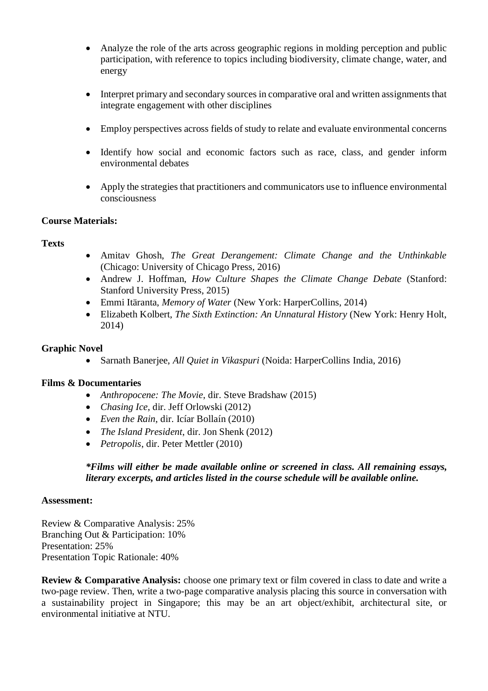- Analyze the role of the arts across geographic regions in molding perception and public participation, with reference to topics including biodiversity, climate change, water, and energy
- Interpret primary and secondary sources in comparative oral and written assignments that integrate engagement with other disciplines
- Employ perspectives across fields of study to relate and evaluate environmental concerns
- Identify how social and economic factors such as race, class, and gender inform environmental debates
- Apply the strategies that practitioners and communicators use to influence environmental consciousness

### **Course Materials:**

### **Texts**

- Amitav Ghosh, *The Great Derangement: Climate Change and the Unthinkable* (Chicago: University of Chicago Press, 2016)
- Andrew J. Hoffman, *How Culture Shapes the Climate Change Debate* (Stanford: Stanford University Press, 2015)
- Emmi Itäranta, *Memory of Water* (New York: HarperCollins, 2014)
- Elizabeth Kolbert, *The Sixth Extinction: An Unnatural History* (New York: Henry Holt, 2014)

### **Graphic Novel**

• Sarnath Banerjee, *All Quiet in Vikaspuri* (Noida: HarperCollins India, 2016)

#### **Films & Documentaries**

- *Anthropocene: The Movie*, dir. Steve Bradshaw (2015)
- *Chasing Ice*, dir. Jeff Orlowski (2012)
- *Even the Rain*, dir. Icíar Bollaín (2010)
- *The Island President*, dir. Jon Shenk (2012)
- *Petropolis*, dir. Peter Mettler (2010)

### *\*Films will either be made available online or screened in class. All remaining essays, literary excerpts, and articles listed in the course schedule will be available online.*

#### **Assessment:**

Review & Comparative Analysis: 25% Branching Out & Participation: 10% Presentation: 25% Presentation Topic Rationale: 40%

**Review & Comparative Analysis:** choose one primary text or film covered in class to date and write a two-page review. Then, write a two-page comparative analysis placing this source in conversation with a sustainability project in Singapore; this may be an art object/exhibit, architectural site, or environmental initiative at NTU.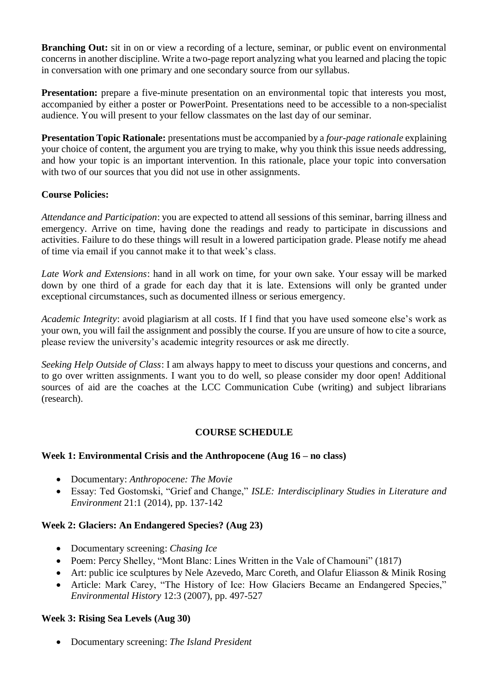**Branching Out:** sit in on or view a recording of a lecture, seminar, or public event on environmental concerns in another discipline. Write a two-page report analyzing what you learned and placing the topic in conversation with one primary and one secondary source from our syllabus.

**Presentation:** prepare a five-minute presentation on an environmental topic that interests you most, accompanied by either a poster or PowerPoint. Presentations need to be accessible to a non-specialist audience. You will present to your fellow classmates on the last day of our seminar.

**Presentation Topic Rationale:** presentations must be accompanied by a *four-page rationale* explaining your choice of content, the argument you are trying to make, why you think this issue needs addressing, and how your topic is an important intervention. In this rationale, place your topic into conversation with two of our sources that you did not use in other assignments.

# **Course Policies:**

*Attendance and Participation*: you are expected to attend all sessions of this seminar, barring illness and emergency. Arrive on time, having done the readings and ready to participate in discussions and activities. Failure to do these things will result in a lowered participation grade. Please notify me ahead of time via email if you cannot make it to that week's class.

*Late Work and Extensions*: hand in all work on time, for your own sake. Your essay will be marked down by one third of a grade for each day that it is late. Extensions will only be granted under exceptional circumstances, such as documented illness or serious emergency.

*Academic Integrity*: avoid plagiarism at all costs. If I find that you have used someone else's work as your own, you will fail the assignment and possibly the course. If you are unsure of how to cite a source, please review the university's academic integrity resources or ask me directly.

*Seeking Help Outside of Class*: I am always happy to meet to discuss your questions and concerns, and to go over written assignments. I want you to do well, so please consider my door open! Additional sources of aid are the coaches at the LCC Communication Cube (writing) and subject librarians (research).

# **COURSE SCHEDULE**

# **Week 1: Environmental Crisis and the Anthropocene (Aug 16 – no class)**

- Documentary: *Anthropocene: The Movie*
- Essay: Ted Gostomski, "Grief and Change," *ISLE: Interdisciplinary Studies in Literature and Environment* 21:1 (2014), pp. 137-142

# **Week 2: Glaciers: An Endangered Species? (Aug 23)**

- Documentary screening: *Chasing Ice*
- Poem: Percy Shelley, "Mont Blanc: Lines Written in the Vale of Chamouni" (1817)
- Art: public ice sculptures by Nele Azevedo, Marc Coreth, and Olafur Eliasson & Minik Rosing
- Article: Mark Carey, "The History of Ice: How Glaciers Became an Endangered Species," *Environmental History* 12:3 (2007), pp. 497-527

#### **Week 3: Rising Sea Levels (Aug 30)**

• Documentary screening: *The Island President*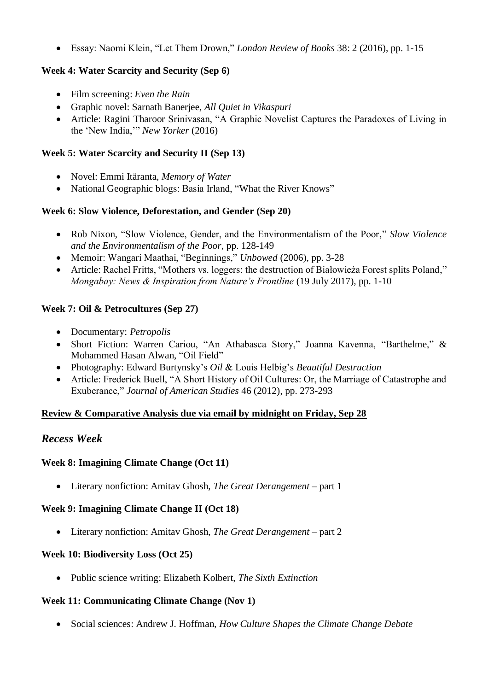• Essay: Naomi Klein, "Let Them Drown," *London Review of Books* 38: 2 (2016), pp. 1-15

# **Week 4: Water Scarcity and Security (Sep 6)**

- Film screening: *Even the Rain*
- Graphic novel: Sarnath Banerjee, *All Quiet in Vikaspuri*
- Article: Ragini Tharoor Srinivasan, "A Graphic Novelist Captures the Paradoxes of Living in the 'New India,'" *New Yorker* (2016)

# **Week 5: Water Scarcity and Security II (Sep 13)**

- Novel: Emmi Itäranta, *Memory of Water*
- National Geographic blogs: Basia Irland, "What the River Knows"

# **Week 6: Slow Violence, Deforestation, and Gender (Sep 20)**

- Rob Nixon, "Slow Violence, Gender, and the Environmentalism of the Poor," *Slow Violence and the Environmentalism of the Poor*, pp. 128-149
- Memoir: Wangari Maathai, "Beginnings," *Unbowed* (2006), pp. 3-28
- Article: Rachel Fritts, "Mothers vs. loggers: the destruction of Białowieża Forest splits Poland," *Mongabay: News & Inspiration from Nature's Frontline* (19 July 2017), pp. 1-10

# **Week 7: Oil & Petrocultures (Sep 27)**

- Documentary: *Petropolis*
- Short Fiction: Warren Cariou, "An Athabasca Story," Joanna Kavenna, "Barthelme," & Mohammed Hasan Alwan, "Oil Field"
- Photography: Edward Burtynsky's *Oil* & Louis Helbig's *Beautiful Destruction*
- Article: Frederick Buell, "A Short History of Oil Cultures: Or, the Marriage of Catastrophe and Exuberance," *Journal of American Studies* 46 (2012), pp. 273-293

# **Review & Comparative Analysis due via email by midnight on Friday, Sep 28**

# *Recess Week*

# **Week 8: Imagining Climate Change (Oct 11)**

• Literary nonfiction: Amitav Ghosh, *The Great Derangement* – part 1

# **Week 9: Imagining Climate Change II (Oct 18)**

• Literary nonfiction: Amitav Ghosh, *The Great Derangement* – part 2

# **Week 10: Biodiversity Loss (Oct 25)**

• Public science writing: Elizabeth Kolbert, *The Sixth Extinction*

# **Week 11: Communicating Climate Change (Nov 1)**

• Social sciences: Andrew J. Hoffman, *How Culture Shapes the Climate Change Debate*